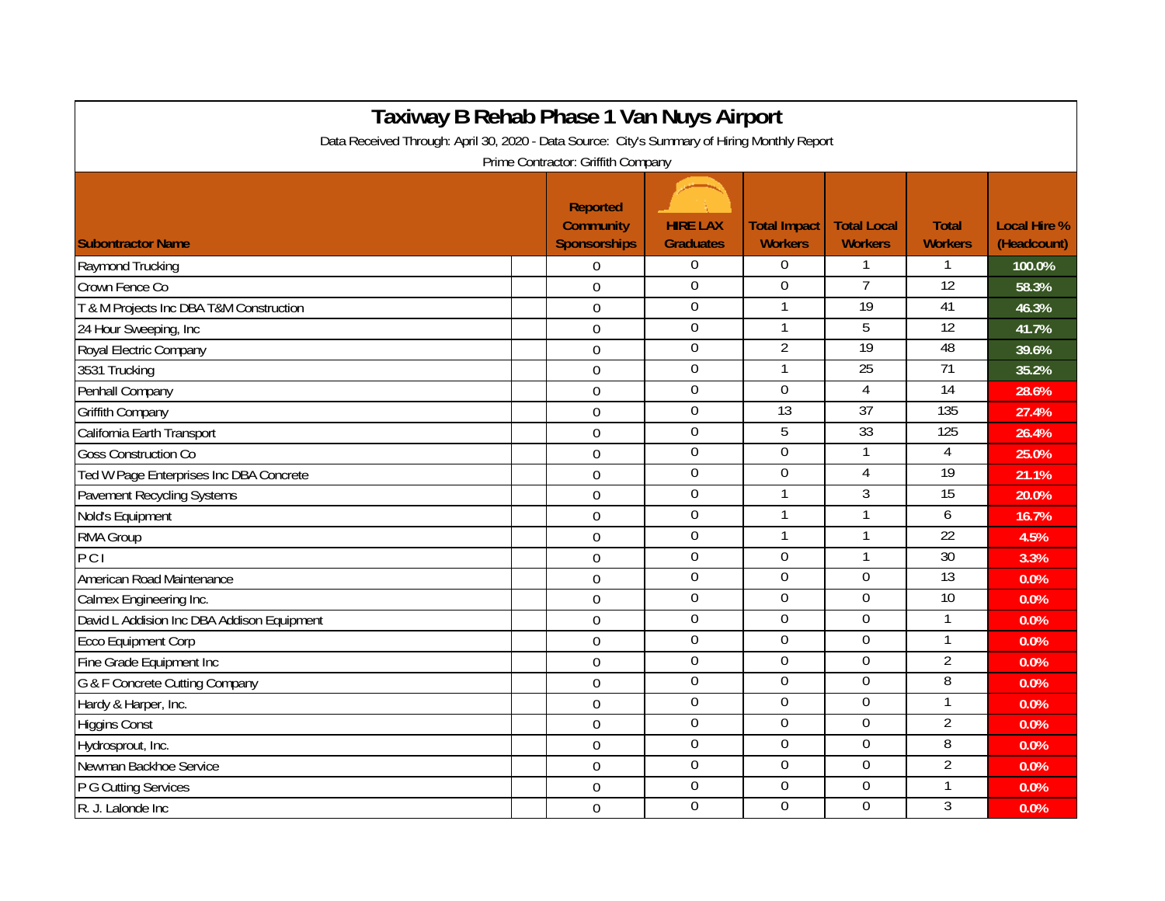| Taxiway B Rehab Phase 1 Van Nuys Airport<br>Data Received Through: April 30, 2020 - Data Source: City's Summary of Hiring Monthly Report |                                                     |                                     |                                       |                                      |                                |                                    |  |  |  |  |  |
|------------------------------------------------------------------------------------------------------------------------------------------|-----------------------------------------------------|-------------------------------------|---------------------------------------|--------------------------------------|--------------------------------|------------------------------------|--|--|--|--|--|
|                                                                                                                                          |                                                     |                                     |                                       |                                      |                                |                                    |  |  |  |  |  |
| <b>Subontractor Name</b>                                                                                                                 | Reported<br><b>Community</b><br><b>Sponsorships</b> | <b>HIRE LAX</b><br><b>Graduates</b> | <b>Total Impact</b><br><b>Workers</b> | <b>Total Local</b><br><b>Workers</b> | <b>Total</b><br><b>Workers</b> | <b>Local Hire %</b><br>(Headcount) |  |  |  |  |  |
| Raymond Trucking                                                                                                                         | $\mathbf 0$                                         | $\overline{0}$                      | $\mathbf 0$                           | $\mathbf 1$                          | 1                              | 100.0%                             |  |  |  |  |  |
| Crown Fence Co                                                                                                                           | $\overline{0}$                                      | $\boldsymbol{0}$                    | $\mathbf 0$                           | $\overline{7}$                       | 12                             | 58.3%                              |  |  |  |  |  |
| T & M Projects Inc DBA T&M Construction                                                                                                  | $\overline{0}$                                      | $\overline{0}$                      | 1                                     | $\overline{19}$                      | 41                             | 46.3%                              |  |  |  |  |  |
| 24 Hour Sweeping, Inc                                                                                                                    | $\mathbf 0$                                         | $\boldsymbol{0}$                    |                                       | 5                                    | 12                             | 41.7%                              |  |  |  |  |  |
| Royal Electric Company                                                                                                                   | $\Omega$                                            | $\overline{0}$                      | $\overline{2}$                        | 19                                   | 48                             | 39.6%                              |  |  |  |  |  |
| 3531 Trucking                                                                                                                            | $\Omega$                                            | $\boldsymbol{0}$                    |                                       | 25                                   | $\overline{71}$                | 35.2%                              |  |  |  |  |  |
| Penhall Company                                                                                                                          | $\mathbf 0$                                         | $\boldsymbol{0}$                    | $\mathbf 0$                           | 4                                    | $\overline{14}$                | 28.6%                              |  |  |  |  |  |
| <b>Griffith Company</b>                                                                                                                  | $\overline{0}$                                      | $\boldsymbol{0}$                    | 13                                    | 37                                   | 135                            | 27.4%                              |  |  |  |  |  |
| California Earth Transport                                                                                                               | $\mathbf 0$                                         | $\boldsymbol{0}$                    | 5                                     | 33                                   | 125                            | 26.4%                              |  |  |  |  |  |
| <b>Goss Construction Co</b>                                                                                                              | $\mathbf 0$                                         | $\overline{0}$                      | $\overline{0}$                        | $\mathbf{1}$                         | $\overline{4}$                 | 25.0%                              |  |  |  |  |  |
| Ted W Page Enterprises Inc DBA Concrete                                                                                                  | $\overline{0}$                                      | $\boldsymbol{0}$                    | $\overline{0}$                        | 4                                    | 19                             | 21.1%                              |  |  |  |  |  |
| <b>Pavement Recycling Systems</b>                                                                                                        | $\mathbf 0$                                         | $\boldsymbol{0}$                    |                                       | 3                                    | 15                             | 20.0%                              |  |  |  |  |  |
| Nold's Equipment                                                                                                                         | $\mathbf 0$                                         | $\boldsymbol{0}$                    |                                       | 1                                    | 6                              | 16.7%                              |  |  |  |  |  |
| RMA Group                                                                                                                                | $\overline{0}$                                      | $\boldsymbol{0}$                    |                                       | $\mathbf{1}$                         | $\overline{22}$                | 4.5%                               |  |  |  |  |  |
| PCI                                                                                                                                      | $\overline{0}$                                      | $\boldsymbol{0}$                    | $\Omega$                              | 1                                    | 30                             | 3.3%                               |  |  |  |  |  |
| American Road Maintenance                                                                                                                | $\mathbf 0$                                         | $\boldsymbol{0}$                    | $\overline{0}$                        | $\overline{0}$                       | 13                             | 0.0%                               |  |  |  |  |  |
| Calmex Engineering Inc.                                                                                                                  | $\overline{0}$                                      | $\overline{0}$                      | $\overline{0}$                        | 0                                    | 10                             | 0.0%                               |  |  |  |  |  |
| David L Addision Inc DBA Addison Equipment                                                                                               | $\Omega$                                            | $\mathbf 0$                         | $\overline{0}$                        | 0                                    | 1                              | 0.0%                               |  |  |  |  |  |
| <b>Ecco Equipment Corp</b>                                                                                                               | $\boldsymbol{0}$                                    | $\overline{0}$                      | $\mathbf 0$                           | 0                                    | 1                              | 0.0%                               |  |  |  |  |  |
| Fine Grade Equipment Inc                                                                                                                 | $\mathbf 0$                                         | $\overline{0}$                      | $\overline{0}$                        | 0                                    | $\overline{2}$                 | 0.0%                               |  |  |  |  |  |
| G & F Concrete Cutting Company                                                                                                           | $\overline{0}$                                      | $\boldsymbol{0}$                    | $\Omega$                              | $\Omega$                             | 8                              | 0.0%                               |  |  |  |  |  |
| Hardy & Harper, Inc.                                                                                                                     | $\mathbf 0$                                         | $\boldsymbol{0}$                    | $\Omega$                              | $\overline{0}$                       | 1                              | 0.0%                               |  |  |  |  |  |
| <b>Higgins Const</b>                                                                                                                     | $\overline{0}$                                      | $\overline{0}$                      | $\mathbf 0$                           | 0                                    | $\overline{2}$                 | 0.0%                               |  |  |  |  |  |
| Hydrosprout, Inc.                                                                                                                        | $\overline{0}$                                      | $\boldsymbol{0}$                    | $\Omega$                              | 0                                    | 8                              | 0.0%                               |  |  |  |  |  |
| Newman Backhoe Service                                                                                                                   | $\mathbf 0$                                         | $\boldsymbol{0}$                    | $\mathbf 0$                           | $\overline{0}$                       | $\overline{2}$                 | 0.0%                               |  |  |  |  |  |
| P G Cutting Services                                                                                                                     | $\overline{0}$                                      | $\boldsymbol{0}$                    | $\mathbf 0$                           | 0                                    | 1                              | 0.0%                               |  |  |  |  |  |
| R. J. Lalonde Inc                                                                                                                        | $\Omega$                                            | $\overline{0}$                      | $\Omega$                              | $\overline{0}$                       | 3                              | 0.0%                               |  |  |  |  |  |